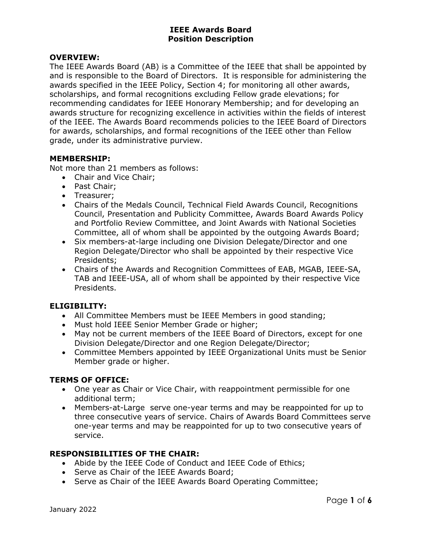### OVERVIEW:

The IEEE Awards Board (AB) is a Committee of the IEEE that shall be appointed by and is responsible to the Board of Directors. It is responsible for administering the awards specified in the IEEE Policy, Section 4; for monitoring all other awards, scholarships, and formal recognitions excluding Fellow grade elevations; for recommending candidates for IEEE Honorary Membership; and for developing an awards structure for recognizing excellence in activities within the fields of interest of the IEEE. The Awards Board recommends policies to the IEEE Board of Directors for awards, scholarships, and formal recognitions of the IEEE other than Fellow grade, under its administrative purview.

#### MEMBERSHIP:

Not more than 21 members as follows:

- Chair and Vice Chair;
- Past Chair;
- Treasurer;
- Chairs of the Medals Council, Technical Field Awards Council, Recognitions Council, Presentation and Publicity Committee, Awards Board Awards Policy and Portfolio Review Committee, and Joint Awards with National Societies Committee, all of whom shall be appointed by the outgoing Awards Board;
- Six members-at-large including one Division Delegate/Director and one Region Delegate/Director who shall be appointed by their respective Vice Presidents;
- Chairs of the Awards and Recognition Committees of EAB, MGAB, IEEE-SA, TAB and IEEE-USA, all of whom shall be appointed by their respective Vice Presidents.

# ELIGIBILITY:

- All Committee Members must be IEEE Members in good standing;
- Must hold IEEE Senior Member Grade or higher;
- May not be current members of the IEEE Board of Directors, except for one Division Delegate/Director and one Region Delegate/Director;
- Committee Members appointed by IEEE Organizational Units must be Senior Member grade or higher.

# TERMS OF OFFICE:

- One year as Chair or Vice Chair, with reappointment permissible for one additional term;
- Members-at-Large serve one-year terms and may be reappointed for up to three consecutive years of service. Chairs of Awards Board Committees serve one-year terms and may be reappointed for up to two consecutive years of service.

# RESPONSIBILITIES OF THE CHAIR:

- Abide by the IEEE Code of Conduct and IEEE Code of Ethics;
- Serve as Chair of the IEEE Awards Board;
- Serve as Chair of the IEEE Awards Board Operating Committee;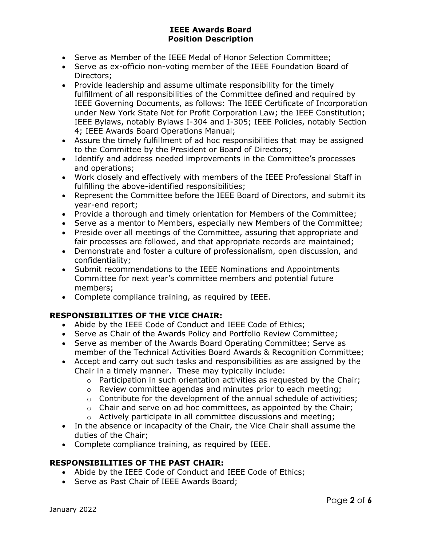- Serve as Member of the IEEE Medal of Honor Selection Committee;
- Serve as ex-officio non-voting member of the IEEE Foundation Board of Directors;
- Provide leadership and assume ultimate responsibility for the timely fulfillment of all responsibilities of the Committee defined and required by IEEE Governing Documents, as follows: The IEEE Certificate of Incorporation under New York State Not for Profit Corporation Law; the IEEE Constitution; IEEE Bylaws, notably Bylaws I-304 and I-305; IEEE Policies, notably Section 4; IEEE Awards Board Operations Manual;
- Assure the timely fulfillment of ad hoc responsibilities that may be assigned to the Committee by the President or Board of Directors;
- Identify and address needed improvements in the Committee's processes and operations;
- Work closely and effectively with members of the IEEE Professional Staff in fulfilling the above-identified responsibilities;
- Represent the Committee before the IEEE Board of Directors, and submit its year-end report;
- Provide a thorough and timely orientation for Members of the Committee;
- Serve as a mentor to Members, especially new Members of the Committee;
- Preside over all meetings of the Committee, assuring that appropriate and fair processes are followed, and that appropriate records are maintained;
- Demonstrate and foster a culture of professionalism, open discussion, and confidentiality;
- Submit recommendations to the IEEE Nominations and Appointments Committee for next year's committee members and potential future members;
- Complete compliance training, as required by IEEE.

# RESPONSIBILITIES OF THE VICE CHAIR:

- Abide by the IEEE Code of Conduct and IEEE Code of Ethics;
- Serve as Chair of the Awards Policy and Portfolio Review Committee;
- Serve as member of the Awards Board Operating Committee; Serve as member of the Technical Activities Board Awards & Recognition Committee;
- Accept and carry out such tasks and responsibilities as are assigned by the Chair in a timely manner. These may typically include:
	- $\circ$  Participation in such orientation activities as requested by the Chair;
	- o Review committee agendas and minutes prior to each meeting;
	- $\circ$  Contribute for the development of the annual schedule of activities;
	- $\circ$  Chair and serve on ad hoc committees, as appointed by the Chair;
	- o Actively participate in all committee discussions and meeting;
- In the absence or incapacity of the Chair, the Vice Chair shall assume the duties of the Chair;
- Complete compliance training, as required by IEEE.

# RESPONSIBILITIES OF THE PAST CHAIR:

- Abide by the IEEE Code of Conduct and IEEE Code of Ethics;
- Serve as Past Chair of IEEE Awards Board;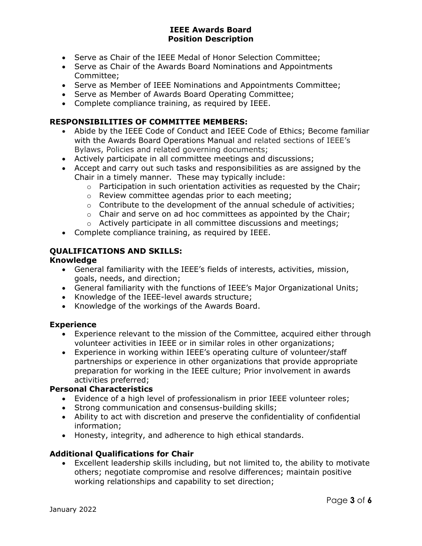- Serve as Chair of the IEEE Medal of Honor Selection Committee;
- Serve as Chair of the Awards Board Nominations and Appointments Committee;
- Serve as Member of IEEE Nominations and Appointments Committee;
- Serve as Member of Awards Board Operating Committee;
- Complete compliance training, as required by IEEE.

#### RESPONSIBILITIES OF COMMITTEE MEMBERS:

- Abide by the IEEE Code of Conduct and IEEE Code of Ethics; Become familiar with the Awards Board Operations Manual and related sections of IEEE's Bylaws, Policies and related governing documents;
- Actively participate in all committee meetings and discussions;
- Accept and carry out such tasks and responsibilities as are assigned by the Chair in a timely manner. These may typically include:
	- $\circ$  Participation in such orientation activities as requested by the Chair:
	- o Review committee agendas prior to each meeting;
	- o Contribute to the development of the annual schedule of activities;
	- $\circ$  Chair and serve on ad hoc committees as appointed by the Chair;
	- o Actively participate in all committee discussions and meetings;
- Complete compliance training, as required by IEEE.

# QUALIFICATIONS AND SKILLS:

#### Knowledge

- General familiarity with the IEEE's fields of interests, activities, mission, goals, needs, and direction;
- General familiarity with the functions of IEEE's Major Organizational Units;
- Knowledge of the IEEE-level awards structure;
- Knowledge of the workings of the Awards Board.

#### **Experience**

- Experience relevant to the mission of the Committee, acquired either through volunteer activities in IEEE or in similar roles in other organizations;
- Experience in working within IEEE's operating culture of volunteer/staff partnerships or experience in other organizations that provide appropriate preparation for working in the IEEE culture; Prior involvement in awards activities preferred;

#### Personal Characteristics

- Evidence of a high level of professionalism in prior IEEE volunteer roles;
- Strong communication and consensus-building skills;
- Ability to act with discretion and preserve the confidentiality of confidential information;
- Honesty, integrity, and adherence to high ethical standards.

# Additional Qualifications for Chair

 Excellent leadership skills including, but not limited to, the ability to motivate others; negotiate compromise and resolve differences; maintain positive working relationships and capability to set direction;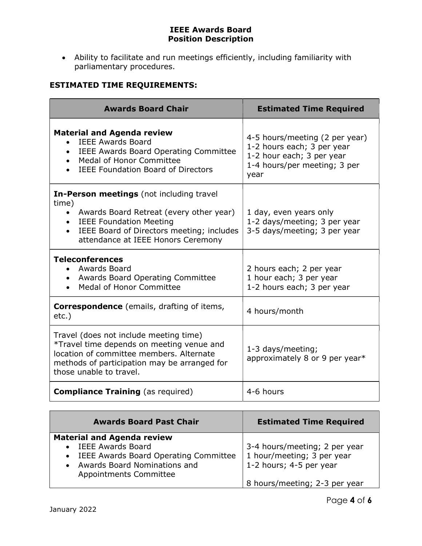Ability to facilitate and run meetings efficiently, including familiarity with parliamentary procedures.

# ESTIMATED TIME REQUIREMENTS:

| <b>Awards Board Chair</b>                                                                                                                                                                                                                   | <b>Estimated Time Required</b>                                                                                                    |
|---------------------------------------------------------------------------------------------------------------------------------------------------------------------------------------------------------------------------------------------|-----------------------------------------------------------------------------------------------------------------------------------|
| <b>Material and Agenda review</b><br><b>IEEE Awards Board</b><br><b>IEEE Awards Board Operating Committee</b><br><b>Medal of Honor Committee</b><br><b>IEEE Foundation Board of Directors</b>                                               | 4-5 hours/meeting (2 per year)<br>1-2 hours each; 3 per year<br>1-2 hour each; 3 per year<br>1-4 hours/per meeting; 3 per<br>year |
| In-Person meetings (not including travel<br>time)<br>Awards Board Retreat (every other year)<br>$\bullet$<br><b>IEEE Foundation Meeting</b><br>IEEE Board of Directors meeting; includes<br>$\bullet$<br>attendance at IEEE Honors Ceremony | 1 day, even years only<br>1-2 days/meeting; 3 per year<br>3-5 days/meeting; 3 per year                                            |
| <b>Teleconferences</b><br>• Awards Board<br><b>Awards Board Operating Committee</b><br><b>Medal of Honor Committee</b>                                                                                                                      | 2 hours each; 2 per year<br>1 hour each; 3 per year<br>1-2 hours each; 3 per year                                                 |
| <b>Correspondence</b> (emails, drafting of items,<br>$etc.$ )                                                                                                                                                                               | 4 hours/month                                                                                                                     |
| Travel (does not include meeting time)<br>*Travel time depends on meeting venue and<br>location of committee members. Alternate<br>methods of participation may be arranged for<br>those unable to travel.                                  | 1-3 days/meeting;<br>approximately 8 or 9 per year*                                                                               |
| <b>Compliance Training</b> (as required)                                                                                                                                                                                                    | 4-6 hours                                                                                                                         |

| <b>Awards Board Past Chair</b>                                                                                                           | <b>Estimated Time Required</b>                                                         |
|------------------------------------------------------------------------------------------------------------------------------------------|----------------------------------------------------------------------------------------|
| <b>Material and Agenda review</b>                                                                                                        |                                                                                        |
| <b>IEEE Awards Board</b><br>IEEE Awards Board Operating Committee<br>$\bullet$<br>Awards Board Nominations and<br>Appointments Committee | 3-4 hours/meeting; 2 per year<br>1 hour/meeting; 3 per year<br>1-2 hours; 4-5 per year |
|                                                                                                                                          | 8 hours/meeting; 2-3 per year                                                          |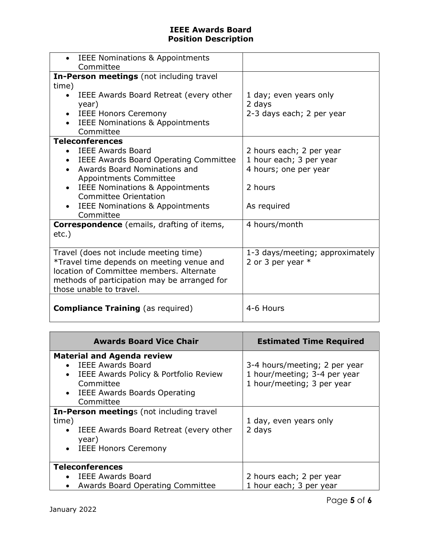| <b>IEEE Nominations &amp; Appointments</b>   |                                 |
|----------------------------------------------|---------------------------------|
| Committee                                    |                                 |
| In-Person meetings (not including travel     |                                 |
| time)                                        |                                 |
| IEEE Awards Board Retreat (every other       | 1 day; even years only          |
| year)                                        | 2 days                          |
| <b>IEEE Honors Ceremony</b>                  | 2-3 days each; 2 per year       |
| <b>IEEE Nominations &amp; Appointments</b>   |                                 |
| Committee                                    |                                 |
| <b>Teleconferences</b>                       |                                 |
| • IEEE Awards Board                          | 2 hours each; 2 per year        |
| <b>IEEE Awards Board Operating Committee</b> | 1 hour each; 3 per year         |
| Awards Board Nominations and                 |                                 |
|                                              | 4 hours; one per year           |
| <b>Appointments Committee</b>                |                                 |
| <b>IEEE Nominations &amp; Appointments</b>   | 2 hours                         |
| Committee Orientation                        |                                 |
| <b>IEEE Nominations &amp; Appointments</b>   | As required                     |
| Committee                                    |                                 |
| Correspondence (emails, drafting of items,   | 4 hours/month                   |
| $etc.$ )                                     |                                 |
|                                              |                                 |
| Travel (does not include meeting time)       | 1-3 days/meeting; approximately |
| *Travel time depends on meeting venue and    | 2 or 3 per year $*$             |
| location of Committee members. Alternate     |                                 |
|                                              |                                 |
| methods of participation may be arranged for |                                 |
| those unable to travel.                      |                                 |
|                                              |                                 |
| <b>Compliance Training</b> (as required)     | 4-6 Hours                       |
|                                              |                                 |

| <b>Awards Board Vice Chair</b>                                                                                                                                                             | <b>Estimated Time Required</b>                                                              |
|--------------------------------------------------------------------------------------------------------------------------------------------------------------------------------------------|---------------------------------------------------------------------------------------------|
| <b>Material and Agenda review</b><br><b>IEEE Awards Board</b><br>IEEE Awards Policy & Portfolio Review<br>$\bullet$<br>Committee<br>IEEE Awards Boards Operating<br>$\bullet$<br>Committee | 3-4 hours/meeting; 2 per year<br>1 hour/meeting; 3-4 per year<br>1 hour/meeting; 3 per year |
| <b>In-Person meetings (not including travel)</b><br>time)<br>IEEE Awards Board Retreat (every other<br>year)<br><b>IEEE Honors Ceremony</b>                                                | 1 day, even years only<br>2 days                                                            |
| <b>Teleconferences</b><br>IEEE Awards Board<br><b>Awards Board Operating Committee</b>                                                                                                     | 2 hours each; 2 per year<br>1 hour each; 3 per year                                         |